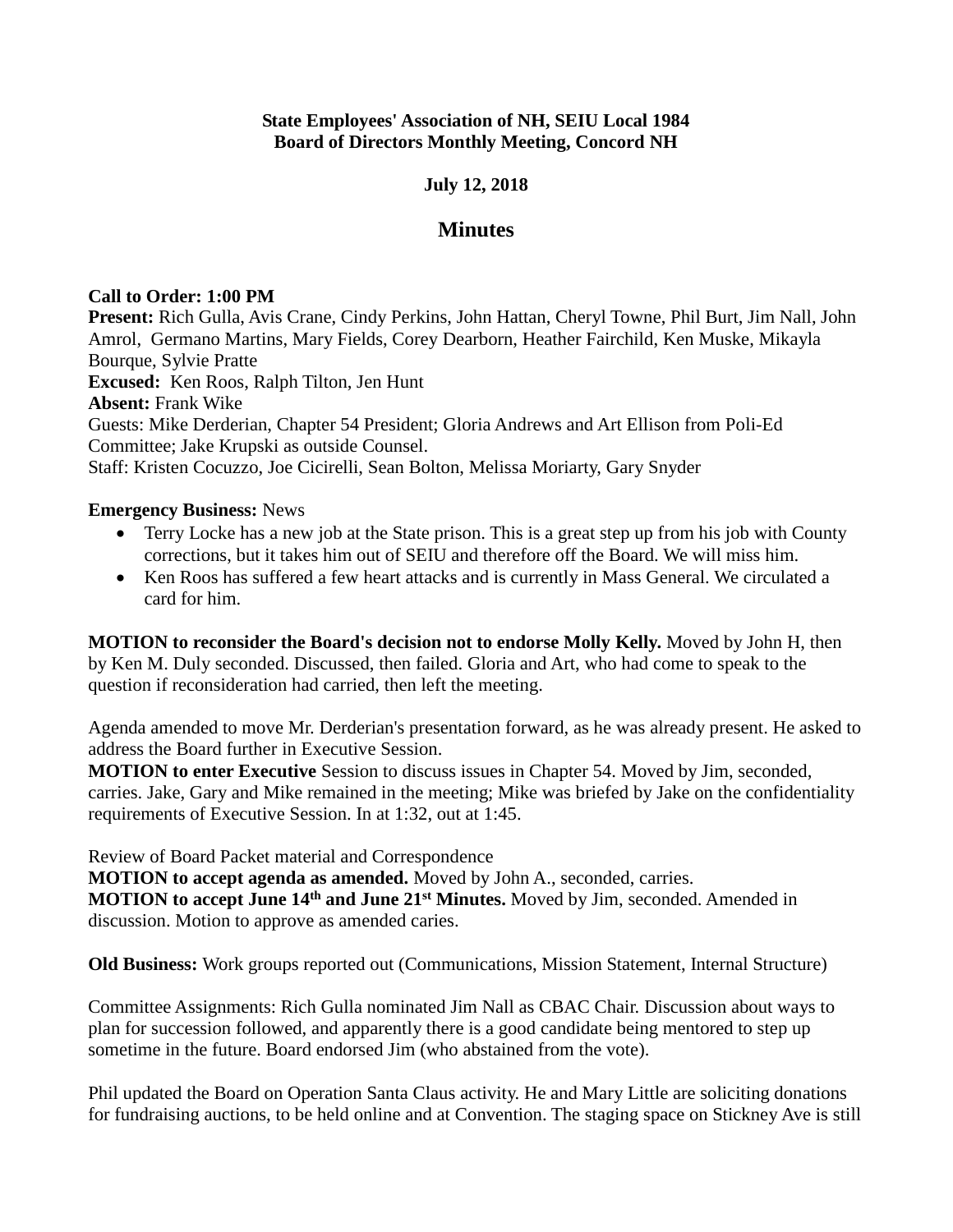#### **State Employees' Association of NH, SEIU Local 1984 Board of Directors Monthly Meeting, Concord NH**

# **July 12, 2018**

# **Minutes**

# **Call to Order: 1:00 PM**

**Present:** Rich Gulla, Avis Crane, Cindy Perkins, John Hattan, Cheryl Towne, Phil Burt, Jim Nall, John Amrol, Germano Martins, Mary Fields, Corey Dearborn, Heather Fairchild, Ken Muske, Mikayla Bourque, Sylvie Pratte **Excused:** Ken Roos, Ralph Tilton, Jen Hunt **Absent:** Frank Wike Guests: Mike Derderian, Chapter 54 President; Gloria Andrews and Art Ellison from Poli-Ed Committee; Jake Krupski as outside Counsel. Staff: Kristen Cocuzzo, Joe Cicirelli, Sean Bolton, Melissa Moriarty, Gary Snyder

## **Emergency Business:** News

- Terry Locke has a new job at the State prison. This is a great step up from his job with County corrections, but it takes him out of SEIU and therefore off the Board. We will miss him.
- Ken Roos has suffered a few heart attacks and is currently in Mass General. We circulated a card for him.

**MOTION to reconsider the Board's decision not to endorse Molly Kelly.** Moved by John H, then by Ken M. Duly seconded. Discussed, then failed. Gloria and Art, who had come to speak to the question if reconsideration had carried, then left the meeting.

Agenda amended to move Mr. Derderian's presentation forward, as he was already present. He asked to address the Board further in Executive Session.

**MOTION to enter Executive** Session to discuss issues in Chapter 54. Moved by Jim, seconded, carries. Jake, Gary and Mike remained in the meeting; Mike was briefed by Jake on the confidentiality requirements of Executive Session. In at 1:32, out at 1:45.

Review of Board Packet material and Correspondence

**MOTION to accept agenda as amended.** Moved by John A., seconded, carries. **MOTION to accept June 14th and June 21st Minutes.** Moved by Jim, seconded. Amended in discussion. Motion to approve as amended caries.

**Old Business:** Work groups reported out (Communications, Mission Statement, Internal Structure)

Committee Assignments: Rich Gulla nominated Jim Nall as CBAC Chair. Discussion about ways to plan for succession followed, and apparently there is a good candidate being mentored to step up sometime in the future. Board endorsed Jim (who abstained from the vote).

Phil updated the Board on Operation Santa Claus activity. He and Mary Little are soliciting donations for fundraising auctions, to be held online and at Convention. The staging space on Stickney Ave is still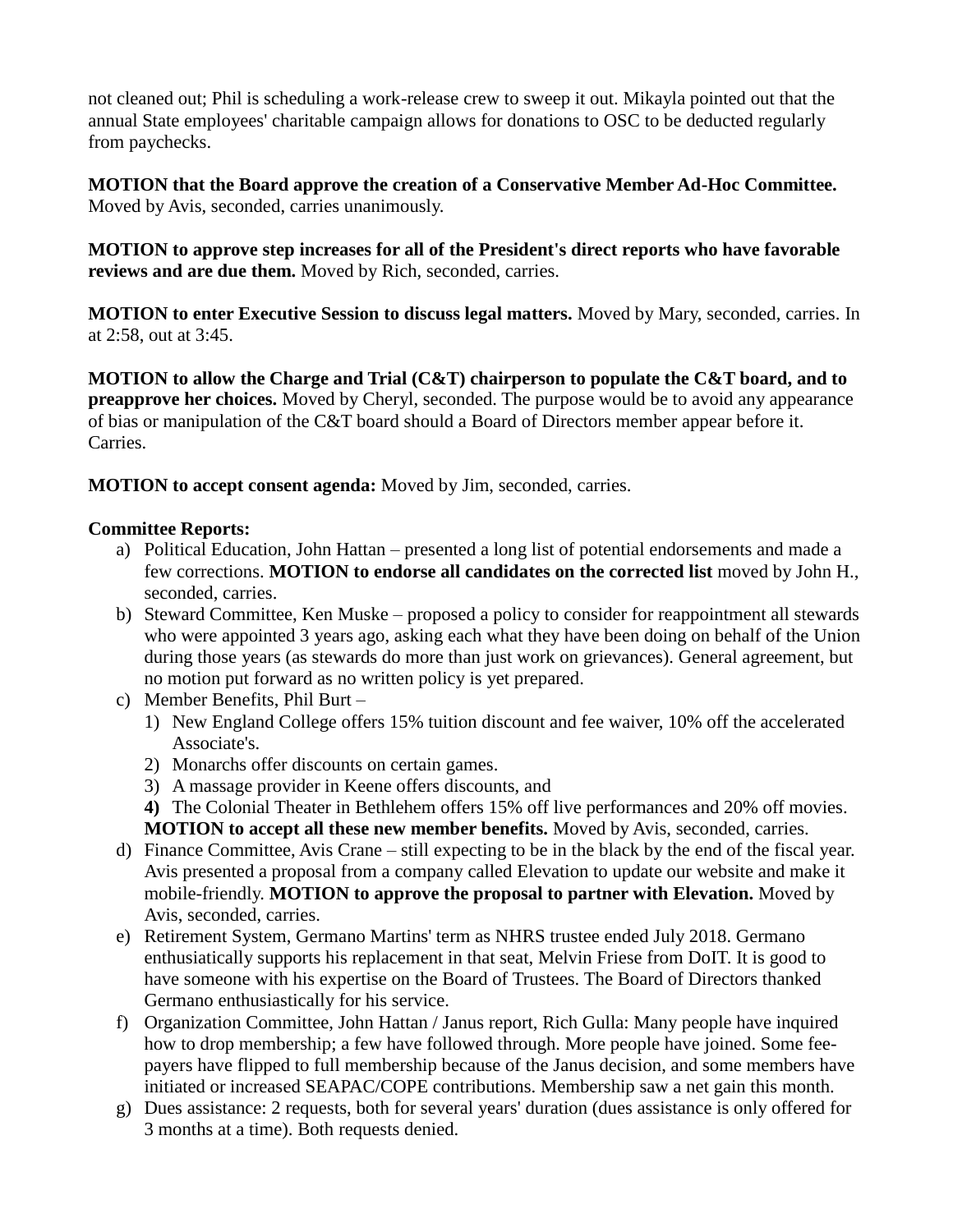not cleaned out; Phil is scheduling a work-release crew to sweep it out. Mikayla pointed out that the annual State employees' charitable campaign allows for donations to OSC to be deducted regularly from paychecks.

**MOTION that the Board approve the creation of a Conservative Member Ad-Hoc Committee.**  Moved by Avis, seconded, carries unanimously.

**MOTION to approve step increases for all of the President's direct reports who have favorable reviews and are due them.** Moved by Rich, seconded, carries.

**MOTION to enter Executive Session to discuss legal matters.** Moved by Mary, seconded, carries. In at 2:58, out at 3:45.

**MOTION to allow the Charge and Trial (C&T) chairperson to populate the C&T board, and to preapprove her choices.** Moved by Cheryl, seconded. The purpose would be to avoid any appearance of bias or manipulation of the C&T board should a Board of Directors member appear before it. Carries.

**MOTION to accept consent agenda:** Moved by Jim, seconded, carries.

## **Committee Reports:**

- a) Political Education, John Hattan presented a long list of potential endorsements and made a few corrections. **MOTION to endorse all candidates on the corrected list** moved by John H., seconded, carries.
- b) Steward Committee, Ken Muske proposed a policy to consider for reappointment all stewards who were appointed 3 years ago, asking each what they have been doing on behalf of the Union during those years (as stewards do more than just work on grievances). General agreement, but no motion put forward as no written policy is yet prepared.
- c) Member Benefits, Phil Burt
	- 1) New England College offers 15% tuition discount and fee waiver, 10% off the accelerated Associate's.
	- 2) Monarchs offer discounts on certain games.
	- 3) A massage provider in Keene offers discounts, and
	- **4)** The Colonial Theater in Bethlehem offers 15% off live performances and 20% off movies. **MOTION to accept all these new member benefits.** Moved by Avis, seconded, carries.
- d) Finance Committee, Avis Crane still expecting to be in the black by the end of the fiscal year. Avis presented a proposal from a company called Elevation to update our website and make it mobile-friendly. **MOTION to approve the proposal to partner with Elevation.** Moved by Avis, seconded, carries.
- e) Retirement System, Germano Martins' term as NHRS trustee ended July 2018. Germano enthusiatically supports his replacement in that seat, Melvin Friese from DoIT. It is good to have someone with his expertise on the Board of Trustees. The Board of Directors thanked Germano enthusiastically for his service.
- f) Organization Committee, John Hattan / Janus report, Rich Gulla: Many people have inquired how to drop membership; a few have followed through. More people have joined. Some feepayers have flipped to full membership because of the Janus decision, and some members have initiated or increased SEAPAC/COPE contributions. Membership saw a net gain this month.
- g) Dues assistance: 2 requests, both for several years' duration (dues assistance is only offered for 3 months at a time). Both requests denied.